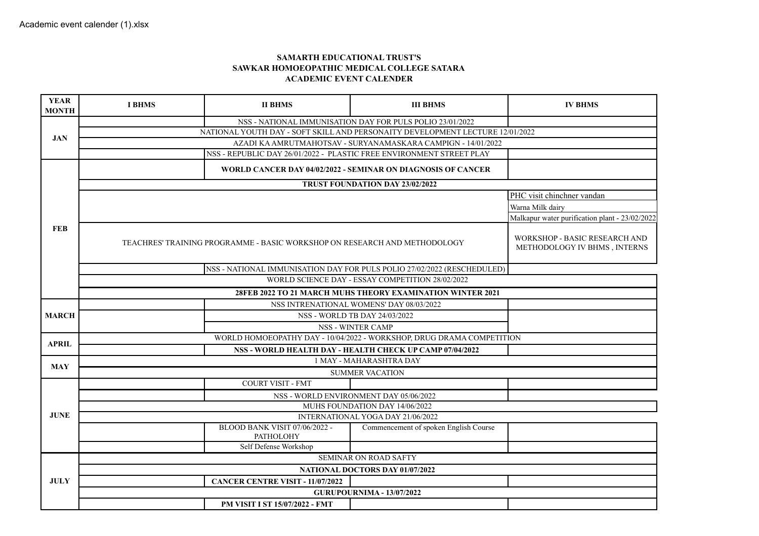## **SAMARTH EDUCATIONAL TRUST'S SAWKAR HOMOEOPATHIC MEDICAL COLLEGE SATARA ACADEMIC EVENT CALENDER**

| <b>YEAR</b><br><b>MONTH</b> | <b>I BHMS</b>                                                                                                                                 | <b>II BHMS</b>                                                          | <b>III BHMS</b>                                           | <b>IV BHMS</b>             |  |  |
|-----------------------------|-----------------------------------------------------------------------------------------------------------------------------------------------|-------------------------------------------------------------------------|-----------------------------------------------------------|----------------------------|--|--|
|                             |                                                                                                                                               |                                                                         | NSS - NATIONAL IMMUNISATION DAY FOR PULS POLIO 23/01/2022 |                            |  |  |
| <b>JAN</b>                  | NATIONAL YOUTH DAY - SOFT SKILL AND PERSONAITY DEVELOPMENT LECTURE 12/01/2022<br>AZADI KA AMRUTMAHOTSAV - SURYANAMASKARA CAMPIGN - 14/01/2022 |                                                                         |                                                           |                            |  |  |
|                             |                                                                                                                                               |                                                                         |                                                           |                            |  |  |
|                             |                                                                                                                                               |                                                                         |                                                           |                            |  |  |
|                             | WORLD CANCER DAY 04/02/2022 - SEMINAR ON DIAGNOSIS OF CANCER                                                                                  |                                                                         |                                                           |                            |  |  |
|                             | TRUST FOUNDATION DAY 23/02/2022                                                                                                               |                                                                         |                                                           |                            |  |  |
|                             |                                                                                                                                               |                                                                         |                                                           | PHC visit chinchner vandan |  |  |
|                             |                                                                                                                                               | Warna Milk dairy                                                        |                                                           |                            |  |  |
|                             |                                                                                                                                               | Malkapur water purification plant - 23/02/2022                          |                                                           |                            |  |  |
| <b>FEB</b>                  | TEACHRES' TRAINING PROGRAMME - BASIC WORKSHOP ON RESEARCH AND METHODOLOGY                                                                     | WORKSHOP - BASIC RESEARCH AND<br>METHODOLOGY IV BHMS, INTERNS           |                                                           |                            |  |  |
|                             |                                                                                                                                               | NSS - NATIONAL IMMUNISATION DAY FOR PULS POLIO 27/02/2022 (RESCHEDULED) |                                                           |                            |  |  |
|                             | WORLD SCIENCE DAY - ESSAY COMPETITION 28/02/2022                                                                                              |                                                                         |                                                           |                            |  |  |
|                             | 28FEB 2022 TO 21 MARCH MUHS THEORY EXAMINATION WINTER 2021                                                                                    |                                                                         |                                                           |                            |  |  |
|                             | NSS INTRENATIONAL WOMENS' DAY 08/03/2022                                                                                                      |                                                                         |                                                           |                            |  |  |
| <b>MARCH</b>                |                                                                                                                                               | NSS - WORLD TB DAY 24/03/2022                                           |                                                           |                            |  |  |
|                             |                                                                                                                                               |                                                                         |                                                           |                            |  |  |
| <b>APRIL</b>                | WORLD HOMOEOPATHY DAY - 10/04/2022 - WORKSHOP, DRUG DRAMA COMPETITION<br>NSS - WORLD HEALTH DAY - HEALTH CHECK UP CAMP 07/04/2022             |                                                                         |                                                           |                            |  |  |
|                             |                                                                                                                                               |                                                                         |                                                           |                            |  |  |
| <b>MAY</b>                  | 1 MAY - MAHARASHTRA DAY<br><b>SUMMER VACATION</b>                                                                                             |                                                                         |                                                           |                            |  |  |
|                             |                                                                                                                                               |                                                                         |                                                           |                            |  |  |
|                             |                                                                                                                                               | <b>COURT VISIT - FMT</b>                                                | NSS - WORLD ENVIRONMENT DAY 05/06/2022                    |                            |  |  |
|                             |                                                                                                                                               |                                                                         |                                                           |                            |  |  |
| <b>JUNE</b>                 | MUHS FOUNDATION DAY 14/06/2022<br>INTERNATIONAL YOGA DAY 21/06/2022                                                                           |                                                                         |                                                           |                            |  |  |
|                             |                                                                                                                                               | BLOOD BANK VISIT 07/06/2022 -                                           | Commencement of spoken English Course                     |                            |  |  |
|                             |                                                                                                                                               | <b>PATHOLOHY</b>                                                        |                                                           |                            |  |  |
|                             |                                                                                                                                               | Self Defense Workshop                                                   |                                                           |                            |  |  |
|                             | <b>SEMINAR ON ROAD SAFTY</b>                                                                                                                  |                                                                         |                                                           |                            |  |  |
|                             | NATIONAL DOCTORS DAY 01/07/2022<br><b>CANCER CENTRE VISIT - 11/07/2022</b>                                                                    |                                                                         |                                                           |                            |  |  |
| <b>JULY</b>                 |                                                                                                                                               |                                                                         |                                                           |                            |  |  |
|                             | <b>GURUPOURNIMA - 13/07/2022</b>                                                                                                              |                                                                         |                                                           |                            |  |  |
|                             |                                                                                                                                               | PM VISIT I ST 15/07/2022 - FMT                                          |                                                           |                            |  |  |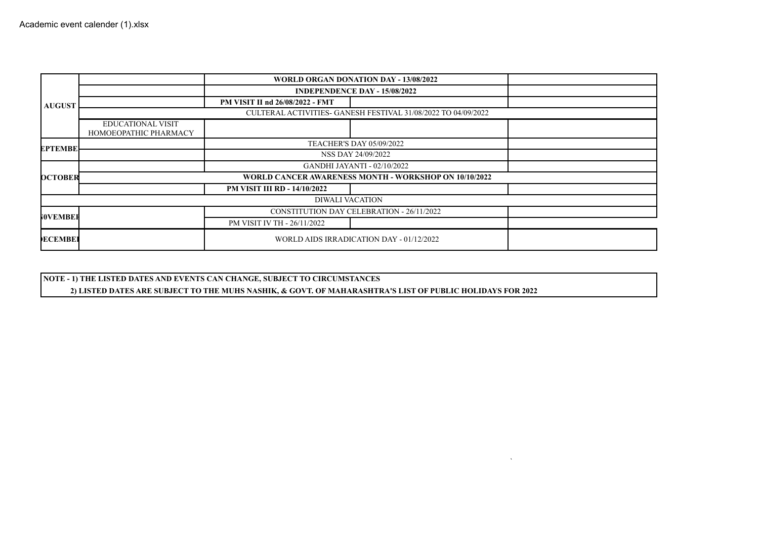| <b>AUGUST</b>   |                                                               | WORLD ORGAN DONATION DAY - 13/08/2022    |  |  |  |  |  |
|-----------------|---------------------------------------------------------------|------------------------------------------|--|--|--|--|--|
|                 |                                                               | <b>INDEPENDENCE DAY - 15/08/2022</b>     |  |  |  |  |  |
|                 |                                                               | PM VISIT II nd 26/08/2022 - FMT          |  |  |  |  |  |
|                 | CULTERAL ACTIVITIES- GANESH FESTIVAL 31/08/2022 TO 04/09/2022 |                                          |  |  |  |  |  |
|                 | <b>EDUCATIONAL VISIT</b><br>HOMOEOPATHIC PHARMACY             |                                          |  |  |  |  |  |
| <b>EPTEMBE</b>  | <b>TEACHER'S DAY 05/09/2022</b>                               |                                          |  |  |  |  |  |
|                 |                                                               | NSS DAY 24/09/2022                       |  |  |  |  |  |
| <b>DCTOBER</b>  | <b>GANDHI JAYANTI - 02/10/2022</b>                            |                                          |  |  |  |  |  |
|                 | WORLD CANCER AWARENESS MONTH - WORKSHOP ON 10/10/2022         |                                          |  |  |  |  |  |
|                 |                                                               | <b>PM VISIT III RD - 14/10/2022</b>      |  |  |  |  |  |
| DIWALI VACATION |                                                               |                                          |  |  |  |  |  |
| <b>WOVEMBER</b> | <b>CONSTITUTION DAY CELEBRATION - 26/11/2022</b>              |                                          |  |  |  |  |  |
|                 |                                                               | PM VISIT IV TH - 26/11/2022              |  |  |  |  |  |
| <b>ECEMBEI</b>  |                                                               | WORLD AIDS IRRADICATION DAY - 01/12/2022 |  |  |  |  |  |

`

**NOTE - 1) THE LISTED DATES AND EVENTS CAN CHANGE, SUBJECT TO CIRCUMSTANCES 2) LISTED DATES ARE SUBJECT TO THE MUHS NASHIK, & GOVT. OF MAHARASHTRA'S LIST OF PUBLIC HOLIDAYS FOR 2022**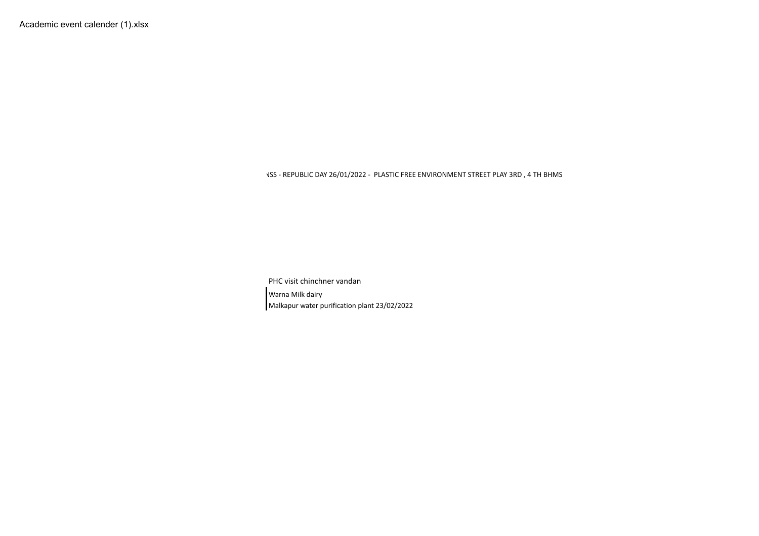NSS - REPUBLIC DAY 26/01/2022 - PLASTIC FREE ENVIRONMENT STREET PLAY 3RD , 4 TH BHMS

PHC visit chinchner vandan Warna Milk dairy Malkapur water purification plant 23/02/2022